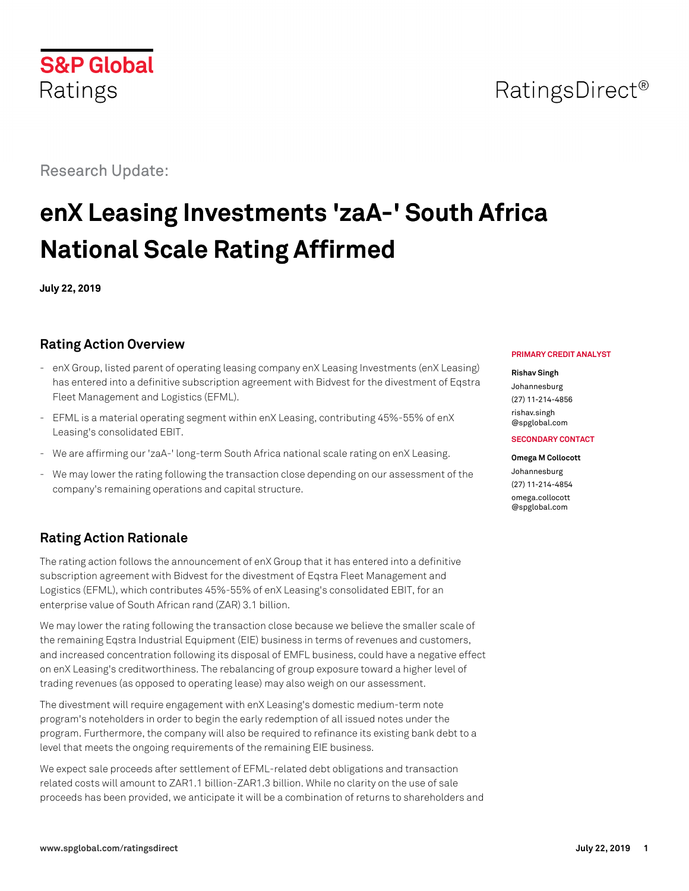Research Update:

# **enX Leasing Investments 'zaA-' South Africa National Scale Rating Affirmed**

**July 22, 2019**

# **Rating Action Overview**

- enX Group, listed parent of operating leasing company enX Leasing Investments (enX Leasing) has entered into a definitive subscription agreement with Bidvest for the divestment of Eqstra Fleet Management and Logistics (EFML).
- EFML is a material operating segment within enX Leasing, contributing 45%-55% of enX Leasing's consolidated EBIT.
- We are affirming our 'zaA-' long-term South Africa national scale rating on enX Leasing.
- We may lower the rating following the transaction close depending on our assessment of the company's remaining operations and capital structure.

# **Rating Action Rationale**

The rating action follows the announcement of enX Group that it has entered into a definitive subscription agreement with Bidvest for the divestment of Eqstra Fleet Management and Logistics (EFML), which contributes 45%-55% of enX Leasing's consolidated EBIT, for an enterprise value of South African rand (ZAR) 3.1 billion.

We may lower the rating following the transaction close because we believe the smaller scale of the remaining Eqstra Industrial Equipment (EIE) business in terms of revenues and customers, and increased concentration following its disposal of EMFL business, could have a negative effect on enX Leasing's creditworthiness. The rebalancing of group exposure toward a higher level of trading revenues (as opposed to operating lease) may also weigh on our assessment.

The divestment will require engagement with enX Leasing's domestic medium-term note program's noteholders in order to begin the early redemption of all issued notes under the program. Furthermore, the company will also be required to refinance its existing bank debt to a level that meets the ongoing requirements of the remaining EIE business.

We expect sale proceeds after settlement of EFML-related debt obligations and transaction related costs will amount to ZAR1.1 billion-ZAR1.3 billion. While no clarity on the use of sale proceeds has been provided, we anticipate it will be a combination of returns to shareholders and

#### **PRIMARY CREDIT ANALYST**

#### **Rishav Singh**

Johannesburg (27) 11-214-4856 [rishav.singh](mailto:rishav.singh@spglobal.com) [@spglobal.com](mailto:rishav.singh@spglobal.com)

#### **SECONDARY CONTACT**

**Omega M Collocott** Johannesburg (27) 11-214-4854 [omega.collocott](mailto:omega.collocott@spglobal.com) [@spglobal.com](mailto:omega.collocott@spglobal.com)

# RatingsDirect<sup>®</sup>

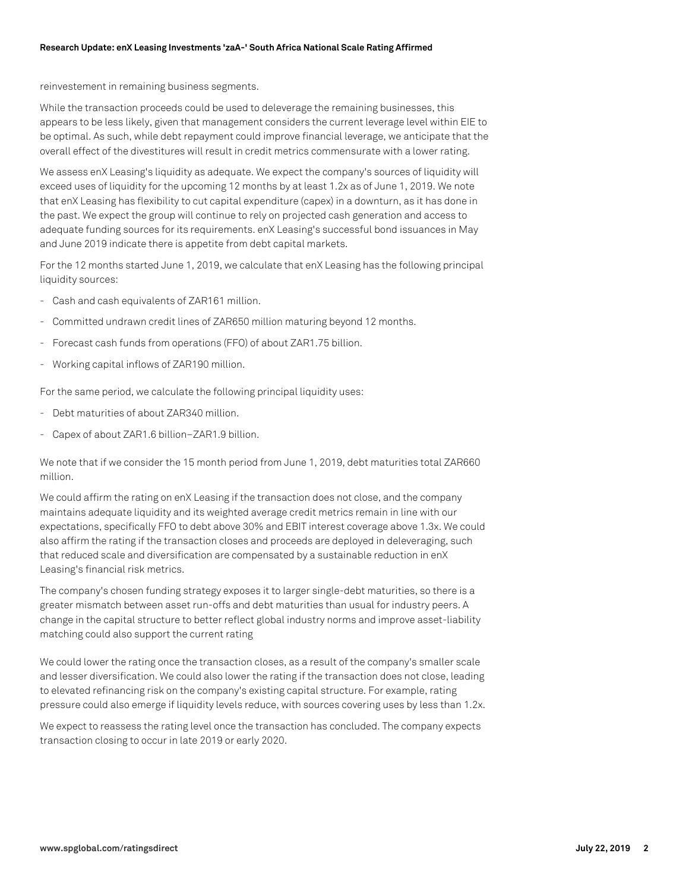reinvestement in remaining business segments.

While the transaction proceeds could be used to deleverage the remaining businesses, this appears to be less likely, given that management considers the current leverage level within EIE to be optimal. As such, while debt repayment could improve financial leverage, we anticipate that the overall effect of the divestitures will result in credit metrics commensurate with a lower rating.

We assess enX Leasing's liquidity as adequate. We expect the company's sources of liquidity will exceed uses of liquidity for the upcoming 12 months by at least 1.2x as of June 1, 2019. We note that enX Leasing has flexibility to cut capital expenditure (capex) in a downturn, as it has done in the past. We expect the group will continue to rely on projected cash generation and access to adequate funding sources for its requirements. enX Leasing's successful bond issuances in May and June 2019 indicate there is appetite from debt capital markets.

For the 12 months started June 1, 2019, we calculate that enX Leasing has the following principal liquidity sources:

- Cash and cash equivalents of ZAR161 million.
- Committed undrawn credit lines of ZAR650 million maturing beyond 12 months.
- Forecast cash funds from operations (FFO) of about ZAR1.75 billion.
- Working capital inflows of ZAR190 million.

For the same period, we calculate the following principal liquidity uses:

- Debt maturities of about ZAR340 million.
- Capex of about ZAR1.6 billion–ZAR1.9 billion.

We note that if we consider the 15 month period from June 1, 2019, debt maturities total ZAR660 million.

We could affirm the rating on enX Leasing if the transaction does not close, and the company maintains adequate liquidity and its weighted average credit metrics remain in line with our expectations, specifically FFO to debt above 30% and EBIT interest coverage above 1.3x. We could also affirm the rating if the transaction closes and proceeds are deployed in deleveraging, such that reduced scale and diversification are compensated by a sustainable reduction in enX Leasing's financial risk metrics.

The company's chosen funding strategy exposes it to larger single-debt maturities, so there is a greater mismatch between asset run-offs and debt maturities than usual for industry peers. A change in the capital structure to better reflect global industry norms and improve asset-liability matching could also support the current rating

We could lower the rating once the transaction closes, as a result of the company's smaller scale and lesser diversification. We could also lower the rating if the transaction does not close, leading to elevated refinancing risk on the company's existing capital structure. For example, rating pressure could also emerge if liquidity levels reduce, with sources covering uses by less than 1.2x.

We expect to reassess the rating level once the transaction has concluded. The company expects transaction closing to occur in late 2019 or early 2020.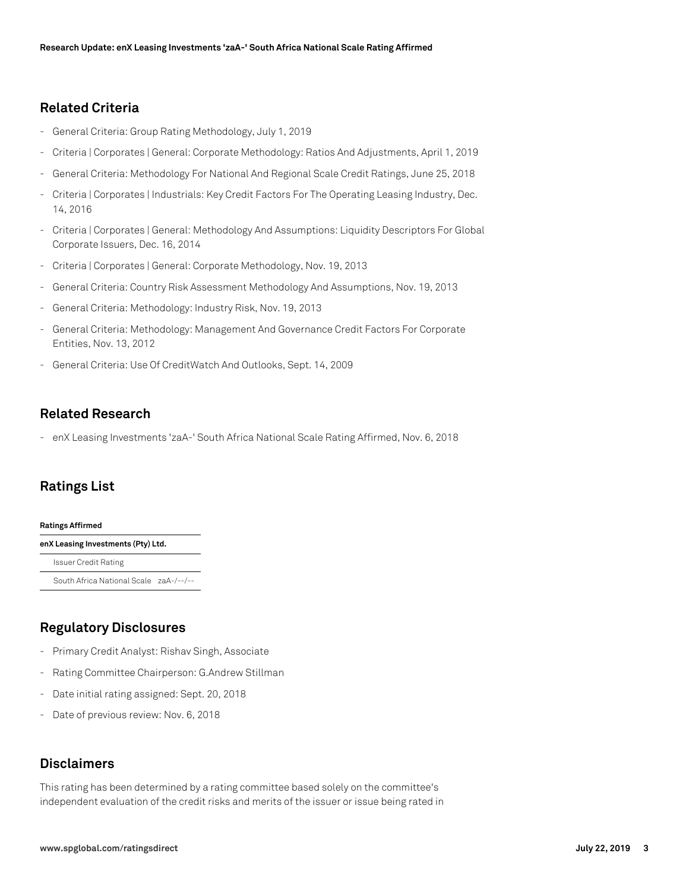### **Related Criteria**

- General Criteria: Group Rating Methodology, July 1, 2019
- Criteria | Corporates | General: Corporate Methodology: Ratios And Adjustments, April 1, 2019
- General Criteria: Methodology For National And Regional Scale Credit Ratings, June 25, 2018
- Criteria | Corporates | Industrials: Key Credit Factors For The Operating Leasing Industry, Dec. 14, 2016
- Criteria | Corporates | General: Methodology And Assumptions: Liquidity Descriptors For Global Corporate Issuers, Dec. 16, 2014
- Criteria | Corporates | General: Corporate Methodology, Nov. 19, 2013
- General Criteria: Country Risk Assessment Methodology And Assumptions, Nov. 19, 2013
- General Criteria: Methodology: Industry Risk, Nov. 19, 2013
- General Criteria: Methodology: Management And Governance Credit Factors For Corporate Entities, Nov. 13, 2012
- General Criteria: Use Of CreditWatch And Outlooks, Sept. 14, 2009

### **Related Research**

- enX Leasing Investments 'zaA-' South Africa National Scale Rating Affirmed, Nov. 6, 2018

# **Ratings List**

#### **Ratings Affirmed**

**enX Leasing Investments (Pty) Ltd.** Issuer Credit Rating South Africa National Scale zaA-/--/--

# **Regulatory Disclosures**

- Primary Credit Analyst: Rishav Singh, Associate
- Rating Committee Chairperson: G.Andrew Stillman
- Date initial rating assigned: Sept. 20, 2018
- Date of previous review: Nov. 6, 2018

## **Disclaimers**

This rating has been determined by a rating committee based solely on the committee's independent evaluation of the credit risks and merits of the issuer or issue being rated in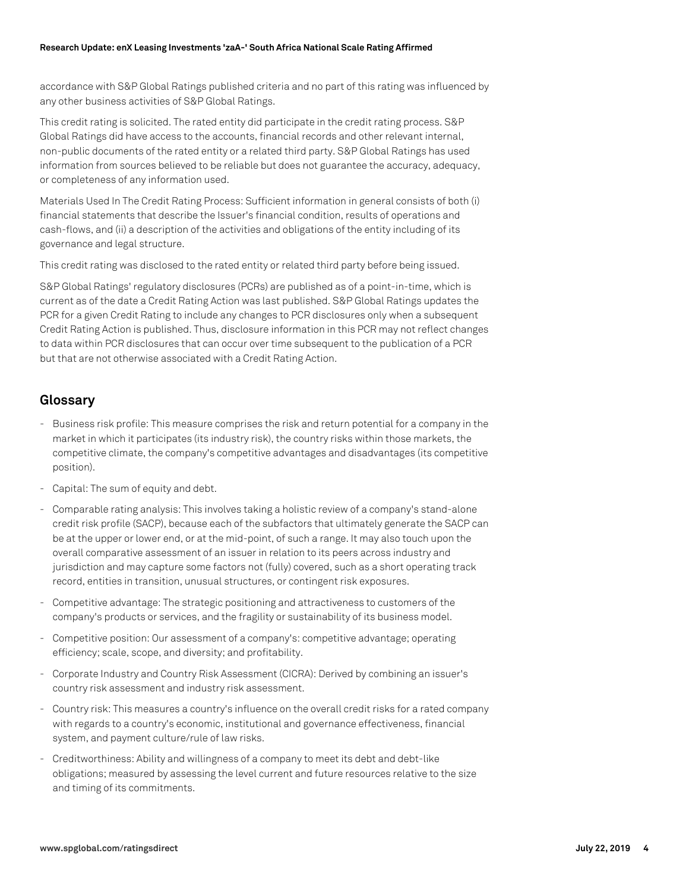accordance with S&P Global Ratings published criteria and no part of this rating was influenced by any other business activities of S&P Global Ratings.

This credit rating is solicited. The rated entity did participate in the credit rating process. S&P Global Ratings did have access to the accounts, financial records and other relevant internal, non-public documents of the rated entity or a related third party. S&P Global Ratings has used information from sources believed to be reliable but does not guarantee the accuracy, adequacy, or completeness of any information used.

Materials Used In The Credit Rating Process: Sufficient information in general consists of both (i) financial statements that describe the Issuer's financial condition, results of operations and cash-flows, and (ii) a description of the activities and obligations of the entity including of its governance and legal structure.

This credit rating was disclosed to the rated entity or related third party before being issued.

S&P Global Ratings' regulatory disclosures (PCRs) are published as of a point-in-time, which is current as of the date a Credit Rating Action was last published. S&P Global Ratings updates the PCR for a given Credit Rating to include any changes to PCR disclosures only when a subsequent Credit Rating Action is published. Thus, disclosure information in this PCR may not reflect changes to data within PCR disclosures that can occur over time subsequent to the publication of a PCR but that are not otherwise associated with a Credit Rating Action.

### **Glossary**

- Business risk profile: This measure comprises the risk and return potential for a company in the market in which it participates (its industry risk), the country risks within those markets, the competitive climate, the company's competitive advantages and disadvantages (its competitive position).
- Capital: The sum of equity and debt.
- Comparable rating analysis: This involves taking a holistic review of a company's stand-alone credit risk profile (SACP), because each of the subfactors that ultimately generate the SACP can be at the upper or lower end, or at the mid-point, of such a range. It may also touch upon the overall comparative assessment of an issuer in relation to its peers across industry and jurisdiction and may capture some factors not (fully) covered, such as a short operating track record, entities in transition, unusual structures, or contingent risk exposures.
- Competitive advantage: The strategic positioning and attractiveness to customers of the company's products or services, and the fragility or sustainability of its business model.
- Competitive position: Our assessment of a company's: competitive advantage; operating efficiency; scale, scope, and diversity; and profitability.
- Corporate Industry and Country Risk Assessment (CICRA): Derived by combining an issuer's country risk assessment and industry risk assessment.
- Country risk: This measures a country's influence on the overall credit risks for a rated company with regards to a country's economic, institutional and governance effectiveness, financial system, and payment culture/rule of law risks.
- Creditworthiness: Ability and willingness of a company to meet its debt and debt-like obligations; measured by assessing the level current and future resources relative to the size and timing of its commitments.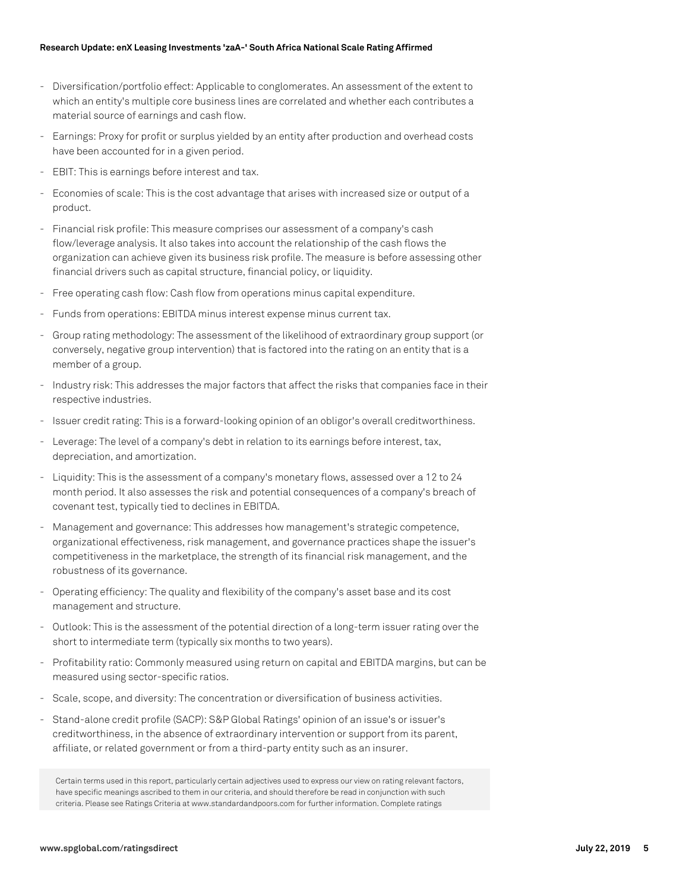#### **Research Update: enX Leasing Investments 'zaA-' South Africa National Scale Rating Affirmed**

- Diversification/portfolio effect: Applicable to conglomerates. An assessment of the extent to which an entity's multiple core business lines are correlated and whether each contributes a material source of earnings and cash flow.
- Earnings: Proxy for profit or surplus yielded by an entity after production and overhead costs have been accounted for in a given period.
- EBIT: This is earnings before interest and tax.
- Economies of scale: This is the cost advantage that arises with increased size or output of a product.
- Financial risk profile: This measure comprises our assessment of a company's cash flow/leverage analysis. It also takes into account the relationship of the cash flows the organization can achieve given its business risk profile. The measure is before assessing other financial drivers such as capital structure, financial policy, or liquidity.
- Free operating cash flow: Cash flow from operations minus capital expenditure.
- Funds from operations: EBITDA minus interest expense minus current tax.
- Group rating methodology: The assessment of the likelihood of extraordinary group support (or conversely, negative group intervention) that is factored into the rating on an entity that is a member of a group.
- Industry risk: This addresses the major factors that affect the risks that companies face in their respective industries.
- Issuer credit rating: This is a forward-looking opinion of an obligor's overall creditworthiness.
- Leverage: The level of a company's debt in relation to its earnings before interest, tax, depreciation, and amortization.
- Liquidity: This is the assessment of a company's monetary flows, assessed over a 12 to 24 month period. It also assesses the risk and potential consequences of a company's breach of covenant test, typically tied to declines in EBITDA.
- Management and governance: This addresses how management's strategic competence, organizational effectiveness, risk management, and governance practices shape the issuer's competitiveness in the marketplace, the strength of its financial risk management, and the robustness of its governance.
- Operating efficiency: The quality and flexibility of the company's asset base and its cost management and structure.
- Outlook: This is the assessment of the potential direction of a long-term issuer rating over the short to intermediate term (typically six months to two years).
- Profitability ratio: Commonly measured using return on capital and EBITDA margins, but can be measured using sector-specific ratios.
- Scale, scope, and diversity: The concentration or diversification of business activities.
- Stand-alone credit profile (SACP): S&P Global Ratings' opinion of an issue's or issuer's creditworthiness, in the absence of extraordinary intervention or support from its parent, affiliate, or related government or from a third-party entity such as an insurer.

Certain terms used in this report, particularly certain adjectives used to express our view on rating relevant factors, have specific meanings ascribed to them in our criteria, and should therefore be read in conjunction with such criteria. Please see Ratings Criteria at www.standardandpoors.com for further information. Complete ratings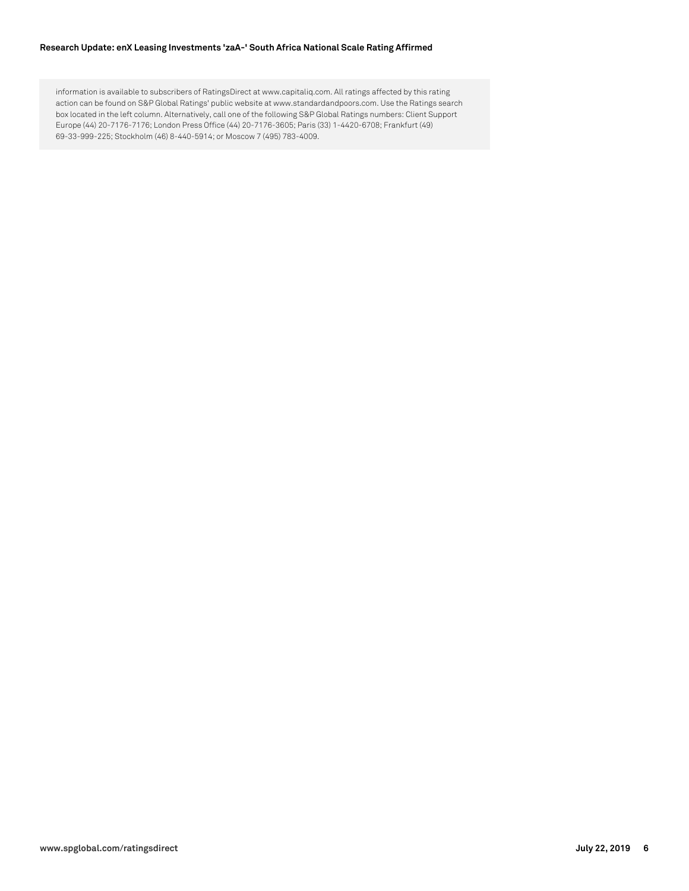#### **Research Update: enX Leasing Investments 'zaA-' South Africa National Scale Rating Affirmed**

information is available to subscribers of RatingsDirect at www.capitaliq.com. All ratings affected by this rating action can be found on S&P Global Ratings' public website at www.standardandpoors.com. Use the Ratings search box located in the left column. Alternatively, call one of the following S&P Global Ratings numbers: Client Support Europe (44) 20-7176-7176; London Press Office (44) 20-7176-3605; Paris (33) 1-4420-6708; Frankfurt (49) 69-33-999-225; Stockholm (46) 8-440-5914; or Moscow 7 (495) 783-4009.